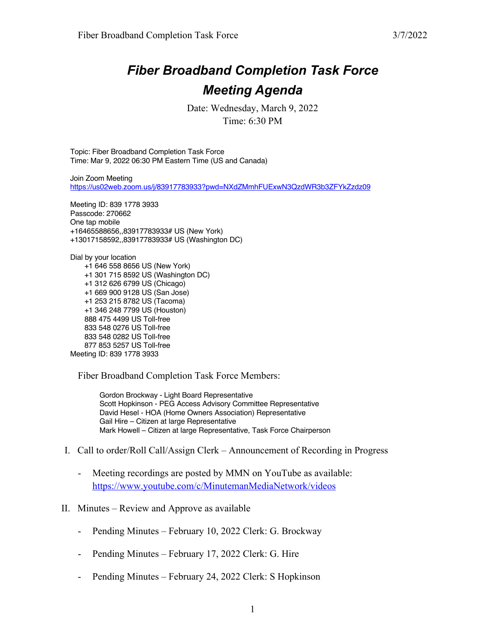## *Fiber Broadband Completion Task Force Meeting Agenda*

Date: Wednesday, March 9, 2022 Time: 6:30 PM

Topic: Fiber Broadband Completion Task Force Time: Mar 9, 2022 06:30 PM Eastern Time (US and Canada)

Join Zoom Meeting https://us02web.zoom.us/j/83917783933?pwd=NXdZMmhFUExwN3QzdWR3b3ZFYkZzdz09

Meeting ID: 839 1778 3933 Passcode: 270662 One tap mobile +16465588656,,83917783933# US (New York) +13017158592,,83917783933# US (Washington DC)

Dial by your location +1 646 558 8656 US (New York) +1 301 715 8592 US (Washington DC) +1 312 626 6799 US (Chicago) +1 669 900 9128 US (San Jose) +1 253 215 8782 US (Tacoma) +1 346 248 7799 US (Houston) 888 475 4499 US Toll-free 833 548 0276 US Toll-free 833 548 0282 US Toll-free 877 853 5257 US Toll-free Meeting ID: 839 1778 3933

Fiber Broadband Completion Task Force Members:

Gordon Brockway - Light Board Representative Scott Hopkinson - PEG Access Advisory Committee Representative David Hesel - HOA (Home Owners Association) Representative Gail Hire – Citizen at large Representative Mark Howell – Citizen at large Representative, Task Force Chairperson

- I. Call to order/Roll Call/Assign Clerk Announcement of Recording in Progress
	- Meeting recordings are posted by MMN on YouTube as available: https://www.youtube.com/c/MinutemanMediaNetwork/videos
- II. Minutes Review and Approve as available
	- Pending Minutes February 10, 2022 Clerk: G. Brockway
	- Pending Minutes February 17, 2022 Clerk: G. Hire
	- Pending Minutes February 24, 2022 Clerk: S Hopkinson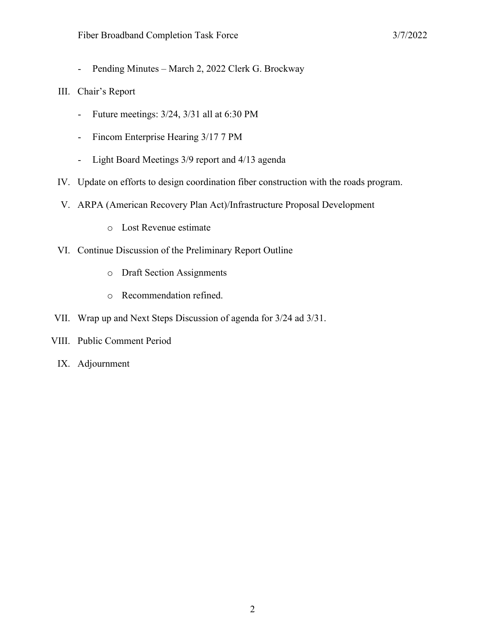- Pending Minutes – March 2, 2022 Clerk G. Brockway

## III. Chair's Report

- Future meetings: 3/24, 3/31 all at 6:30 PM
- Fincom Enterprise Hearing 3/17 7 PM
- Light Board Meetings 3/9 report and 4/13 agenda
- IV. Update on efforts to design coordination fiber construction with the roads program.
- V. ARPA (American Recovery Plan Act)/Infrastructure Proposal Development
	- o Lost Revenue estimate
- VI. Continue Discussion of the Preliminary Report Outline
	- o Draft Section Assignments
	- o Recommendation refined.
- VII. Wrap up and Next Steps Discussion of agenda for 3/24 ad 3/31.
- VIII. Public Comment Period
	- IX. Adjournment